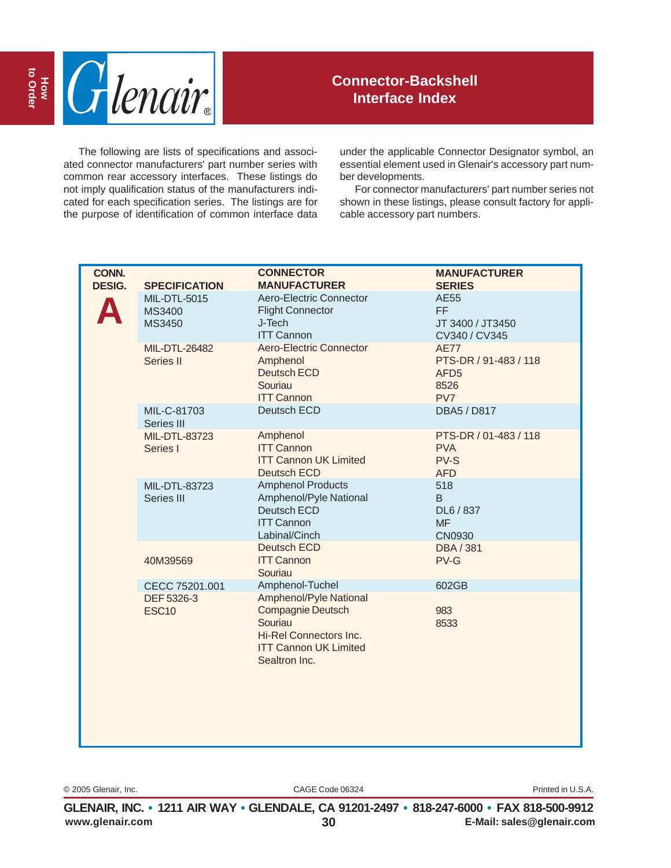

The following are lists of specifications and associated connector manufacturers' part number series with common rear accessory interfaces. These listings do not imply qualification status of the manufacturers indicated for each specification series. The listings are for the purpose of identification of common interface data

under the applicable Connector Designator symbol, an essential element used in Glenair's accessory part number developments.

For connector manufacturers' part number series not shown in these listings, please consult factory for applicable accessory part numbers.

| CONN.<br><b>DESIG.</b> | <b>SPECIFICATION</b>                              | <b>CONNECTOR</b><br><b>MANUFACTURER</b>                                                                                                                     | <b>MANUFACTURER</b><br><b>SERIES</b>                                    |
|------------------------|---------------------------------------------------|-------------------------------------------------------------------------------------------------------------------------------------------------------------|-------------------------------------------------------------------------|
|                        | MIL-DTL-5015<br>MS3400<br>MS3450                  | Aero-Electric Connector<br><b>Flight Connector</b><br>J-Tech<br><b>ITT Cannon</b>                                                                           | <b>AE55</b><br>FF.<br>JT 3400 / JT3450<br>CV340 / CV345                 |
|                        | MIL-DTL-26482<br>Series II                        | Aero-Electric Connector<br>Amphenol<br>Deutsch ECD<br>Souriau<br><b>ITT Cannon</b>                                                                          | <b>AE77</b><br>PTS-DR / 91-483 / 118<br>AFD <sub>5</sub><br>8526<br>PV7 |
|                        | MIL-C-81703<br>Series III                         | Deutsch ECD                                                                                                                                                 | <b>DBA5 / D817</b>                                                      |
|                        | MIL-DTL-83723<br>Series I                         | Amphenol<br><b>ITT Cannon</b><br><b>ITT Cannon UK Limited</b><br><b>Deutsch ECD</b>                                                                         | PTS-DR / 01-483 / 118<br><b>PVA</b><br>PV-S<br><b>AFD</b>               |
|                        | MIL-DTL-83723<br>Series III                       | <b>Amphenol Products</b><br>Amphenol/Pyle National<br>Deutsch ECD<br><b>ITT Cannon</b><br>Labinal/Cinch                                                     | 518<br>B<br>DL6 / 837<br><b>MF</b><br><b>CN0930</b>                     |
|                        | 40M39569                                          | Deutsch ECD<br><b>ITT Cannon</b><br>Souriau                                                                                                                 | <b>DBA/381</b><br>PV-G                                                  |
|                        | CECC 75201.001<br>DEF 5326-3<br>ESC <sub>10</sub> | Amphenol-Tuchel<br>Amphenol/Pyle National<br><b>Compagnie Deutsch</b><br>Souriau<br>Hi-Rel Connectors Inc.<br><b>ITT Cannon UK Limited</b><br>Sealtron Inc. | 602GB<br>983<br>8533                                                    |

© 2005 Glenair, Inc. CAGE Code 06324 Printed in U.S.A.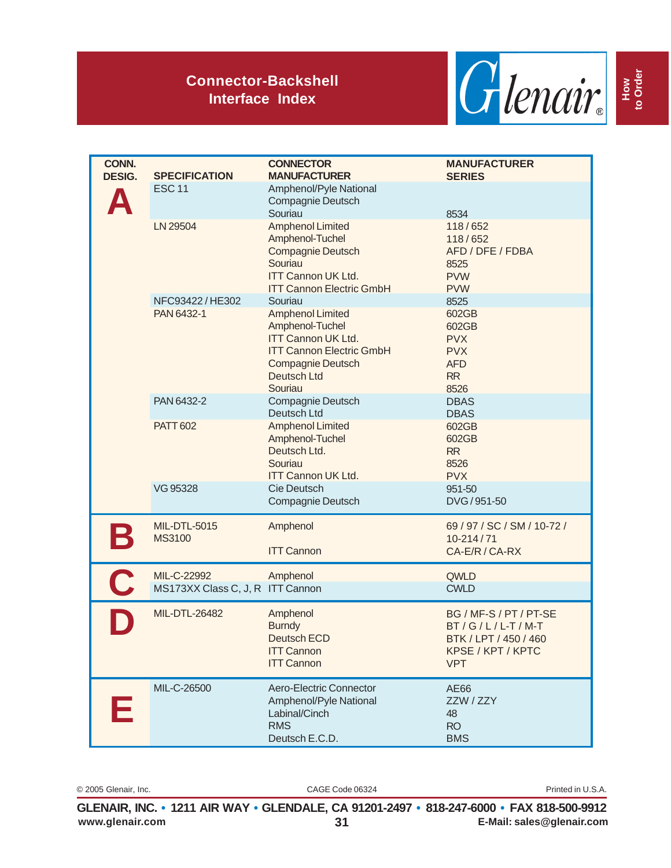

| CONN.<br><b>DESIG.</b> | <b>SPECIFICATION</b>                            | <b>CONNECTOR</b><br><b>MANUFACTURER</b>                                                                                                                          | <b>MANUFACTURER</b><br><b>SERIES</b>                                                                   |
|------------------------|-------------------------------------------------|------------------------------------------------------------------------------------------------------------------------------------------------------------------|--------------------------------------------------------------------------------------------------------|
|                        | <b>ESC 11</b>                                   | Amphenol/Pyle National<br>Compagnie Deutsch<br>Souriau                                                                                                           | 8534                                                                                                   |
|                        | LN 29504                                        | <b>Amphenol Limited</b><br>Amphenol-Tuchel<br><b>Compagnie Deutsch</b><br>Souriau<br><b>ITT Cannon UK Ltd.</b><br><b>ITT Cannon Electric GmbH</b>                | 118/652<br>118/652<br>AFD / DFE / FDBA<br>8525<br><b>PVW</b><br><b>PVW</b>                             |
|                        | NFC93422/HE302                                  | Souriau                                                                                                                                                          | 8525                                                                                                   |
|                        | PAN 6432-1                                      | <b>Amphenol Limited</b><br>Amphenol-Tuchel<br><b>ITT Cannon UK Ltd.</b><br><b>ITT Cannon Electric GmbH</b><br><b>Compagnie Deutsch</b><br>Deutsch Ltd<br>Souriau | 602GB<br>602GB<br><b>PVX</b><br><b>PVX</b><br><b>AFD</b><br><b>RR</b><br>8526                          |
|                        | PAN 6432-2                                      | Compagnie Deutsch<br>Deutsch Ltd                                                                                                                                 | <b>DBAS</b><br><b>DBAS</b>                                                                             |
|                        | <b>PATT 602</b>                                 | <b>Amphenol Limited</b><br>Amphenol-Tuchel<br>Deutsch Ltd.<br>Souriau<br><b>ITT Cannon UK Ltd.</b>                                                               | 602GB<br>602GB<br><b>RR</b><br>8526<br><b>PVX</b>                                                      |
|                        | VG 95328                                        | Cie Deutsch<br>Compagnie Deutsch                                                                                                                                 | 951-50<br>DVG/951-50                                                                                   |
| $\mathbf{B}$           | <b>MIL-DTL-5015</b><br><b>MS3100</b>            | Amphenol<br><b>ITT Cannon</b>                                                                                                                                    | 69 / 97 / SC / SM / 10-72 /<br>10-214/71<br>CA-E/R / CA-RX                                             |
| $\mathbf C$            | MIL-C-22992<br>MS173XX Class C, J, R ITT Cannon | Amphenol                                                                                                                                                         | QWLD<br><b>CWLD</b>                                                                                    |
|                        | <b>MIL-DTL-26482</b>                            | Amphenol<br><b>Burndy</b><br><b>Deutsch ECD</b><br><b>ITT Cannon</b><br><b>ITT Cannon</b>                                                                        | BG / MF-S / PT / PT-SE<br>$BT/G/L/L-T/M-T$<br>BTK / LPT / 450 / 460<br>KPSE / KPT / KPTC<br><b>VPT</b> |
| F                      | MIL-C-26500                                     | Aero-Electric Connector<br>Amphenol/Pyle National<br>Labinal/Cinch<br><b>RMS</b><br>Deutsch E.C.D.                                                               | AE66<br>ZZW / ZZY<br>48<br><b>RO</b><br><b>BMS</b>                                                     |

© 2005 Glenair, Inc. CAGE Code 06324 Printed in U.S.A.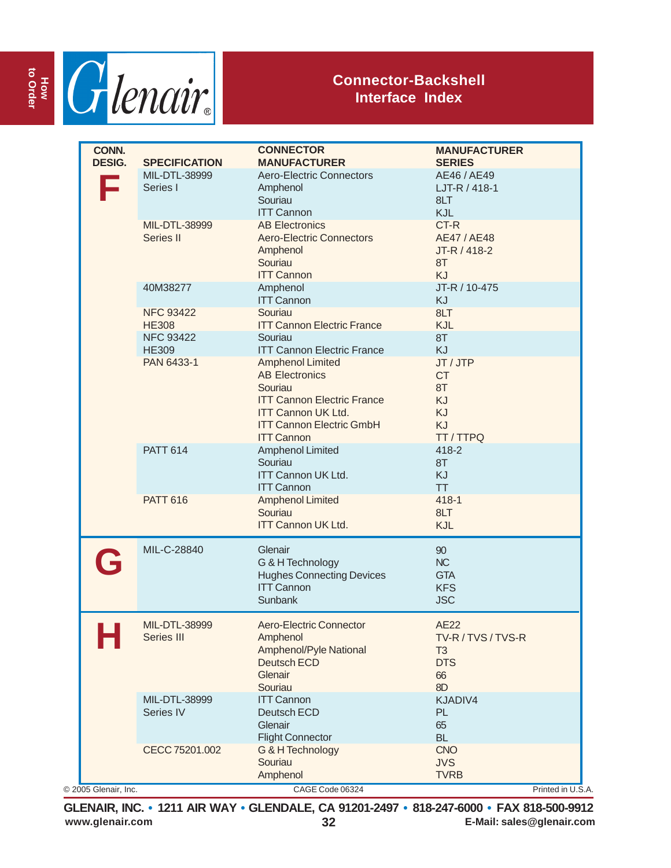

| MIL-DTL-38999<br><b>Aero-Electric Connectors</b><br>AE46 / AE49<br>LJT-R / 418-1<br>Series I<br>Amphenol<br>Souriau<br>8LT<br><b>ITT Cannon</b><br>KJL<br>CT-R<br><b>AB Electronics</b><br>MIL-DTL-38999<br>Series II<br><b>Aero-Electric Connectors</b><br>AE47 / AE48<br>JT-R / 418-2<br>Amphenol<br>Souriau<br>8T<br><b>ITT Cannon</b><br><b>KJ</b><br>JT-R / 10-475<br>40M38277<br>Amphenol<br><b>ITT Cannon</b><br>KJ<br>8LT<br><b>NFC 93422</b><br>Souriau<br><b>ITT Cannon Electric France</b><br><b>HE308</b><br>KJL<br><b>NFC 93422</b><br>Souriau<br>8T<br><b>ITT Cannon Electric France</b><br><b>KJ</b><br><b>HE309</b><br>PAN 6433-1<br><b>Amphenol Limited</b><br>JT / JTP<br><b>CT</b><br><b>AB Electronics</b><br>Souriau<br>8T<br><b>ITT Cannon Electric France</b><br>KJ<br>KJ<br><b>ITT Cannon UK Ltd.</b><br><b>ITT Cannon Electric GmbH</b><br>KJ<br>TT / TTPQ<br><b>ITT Cannon</b><br><b>PATT 614</b><br>Amphenol Limited<br>418-2<br>Souriau<br>8T<br><b>ITT Cannon UK Ltd.</b><br><b>KJ</b><br><b>ITT Cannon</b><br><b>TT</b><br>$418 - 1$<br><b>PATT 616</b><br><b>Amphenol Limited</b><br>Souriau<br>8LT<br><b>ITT Cannon UK Ltd.</b><br>KJL<br>MIL-C-28840<br>Glenair<br>90<br>G<br>NC<br>G & H Technology<br><b>Hughes Connecting Devices</b><br><b>GTA</b><br><b>ITT Cannon</b><br><b>KFS</b><br><b>JSC</b><br>Sunbank<br>MIL-DTL-38999<br>Aero-Electric Connector<br><b>AE22</b><br>a a shekara<br>Series III<br>Amphenol<br>TV-R/TVS/TVS-R<br>Amphenol/Pyle National<br>T <sub>3</sub><br><b>DTS</b><br><b>Deutsch ECD</b><br>Glenair<br>66<br>8D<br>Souriau<br>MIL-DTL-38999<br>KJADIV4<br><b>ITT Cannon</b><br>Series IV<br>Deutsch ECD<br>PL<br>Glenair<br>65<br><b>Flight Connector</b><br><b>BL</b><br>CECC 75201.002<br><b>CNO</b><br>G & H Technology<br>Souriau<br><b>JVS</b><br>Amphenol<br><b>TVRB</b> | CONN.<br><b>DESIG.</b> | <b>SPECIFICATION</b> | <b>CONNECTOR</b><br><b>MANUFACTURER</b> | <b>MANUFACTURER</b><br><b>SERIES</b> |
|-------------------------------------------------------------------------------------------------------------------------------------------------------------------------------------------------------------------------------------------------------------------------------------------------------------------------------------------------------------------------------------------------------------------------------------------------------------------------------------------------------------------------------------------------------------------------------------------------------------------------------------------------------------------------------------------------------------------------------------------------------------------------------------------------------------------------------------------------------------------------------------------------------------------------------------------------------------------------------------------------------------------------------------------------------------------------------------------------------------------------------------------------------------------------------------------------------------------------------------------------------------------------------------------------------------------------------------------------------------------------------------------------------------------------------------------------------------------------------------------------------------------------------------------------------------------------------------------------------------------------------------------------------------------------------------------------------------------------------------------------------------------------------------------------------------------------------------------------|------------------------|----------------------|-----------------------------------------|--------------------------------------|
|                                                                                                                                                                                                                                                                                                                                                                                                                                                                                                                                                                                                                                                                                                                                                                                                                                                                                                                                                                                                                                                                                                                                                                                                                                                                                                                                                                                                                                                                                                                                                                                                                                                                                                                                                                                                                                                 |                        |                      |                                         |                                      |
|                                                                                                                                                                                                                                                                                                                                                                                                                                                                                                                                                                                                                                                                                                                                                                                                                                                                                                                                                                                                                                                                                                                                                                                                                                                                                                                                                                                                                                                                                                                                                                                                                                                                                                                                                                                                                                                 |                        |                      |                                         |                                      |
|                                                                                                                                                                                                                                                                                                                                                                                                                                                                                                                                                                                                                                                                                                                                                                                                                                                                                                                                                                                                                                                                                                                                                                                                                                                                                                                                                                                                                                                                                                                                                                                                                                                                                                                                                                                                                                                 |                        |                      |                                         |                                      |
|                                                                                                                                                                                                                                                                                                                                                                                                                                                                                                                                                                                                                                                                                                                                                                                                                                                                                                                                                                                                                                                                                                                                                                                                                                                                                                                                                                                                                                                                                                                                                                                                                                                                                                                                                                                                                                                 |                        |                      |                                         |                                      |
|                                                                                                                                                                                                                                                                                                                                                                                                                                                                                                                                                                                                                                                                                                                                                                                                                                                                                                                                                                                                                                                                                                                                                                                                                                                                                                                                                                                                                                                                                                                                                                                                                                                                                                                                                                                                                                                 |                        |                      |                                         |                                      |
|                                                                                                                                                                                                                                                                                                                                                                                                                                                                                                                                                                                                                                                                                                                                                                                                                                                                                                                                                                                                                                                                                                                                                                                                                                                                                                                                                                                                                                                                                                                                                                                                                                                                                                                                                                                                                                                 |                        |                      |                                         |                                      |
|                                                                                                                                                                                                                                                                                                                                                                                                                                                                                                                                                                                                                                                                                                                                                                                                                                                                                                                                                                                                                                                                                                                                                                                                                                                                                                                                                                                                                                                                                                                                                                                                                                                                                                                                                                                                                                                 |                        |                      |                                         |                                      |
|                                                                                                                                                                                                                                                                                                                                                                                                                                                                                                                                                                                                                                                                                                                                                                                                                                                                                                                                                                                                                                                                                                                                                                                                                                                                                                                                                                                                                                                                                                                                                                                                                                                                                                                                                                                                                                                 |                        |                      |                                         |                                      |
|                                                                                                                                                                                                                                                                                                                                                                                                                                                                                                                                                                                                                                                                                                                                                                                                                                                                                                                                                                                                                                                                                                                                                                                                                                                                                                                                                                                                                                                                                                                                                                                                                                                                                                                                                                                                                                                 |                        |                      |                                         |                                      |
|                                                                                                                                                                                                                                                                                                                                                                                                                                                                                                                                                                                                                                                                                                                                                                                                                                                                                                                                                                                                                                                                                                                                                                                                                                                                                                                                                                                                                                                                                                                                                                                                                                                                                                                                                                                                                                                 |                        |                      |                                         |                                      |
|                                                                                                                                                                                                                                                                                                                                                                                                                                                                                                                                                                                                                                                                                                                                                                                                                                                                                                                                                                                                                                                                                                                                                                                                                                                                                                                                                                                                                                                                                                                                                                                                                                                                                                                                                                                                                                                 |                        |                      |                                         |                                      |
|                                                                                                                                                                                                                                                                                                                                                                                                                                                                                                                                                                                                                                                                                                                                                                                                                                                                                                                                                                                                                                                                                                                                                                                                                                                                                                                                                                                                                                                                                                                                                                                                                                                                                                                                                                                                                                                 |                        |                      |                                         |                                      |

**www.glenair.com 32 E-Mail: sales@glenair.com GLENAIR, INC. • 1211 AIR WAY • GLENDALE, CA 91201-2497 • 818-247-6000 • FAX 818-500-9912**